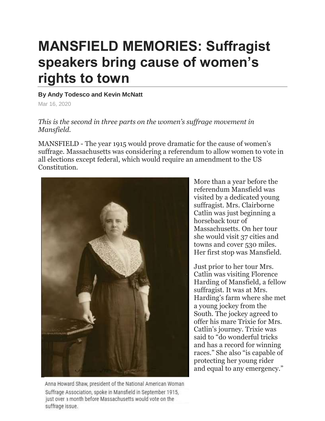## **MANSFIELD MEMORIES: Suffragist speakers bring cause of women's rights to town**

## **By Andy Todesco and Kevin McNatt**

Mar 16, 2020

## *This is the second in three parts on the women's suffrage movement in Mansfield.*

MANSFIELD - The year 1915 would prove dramatic for the cause of women's suffrage. Massachusetts was considering a referendum to allow women to vote in all elections except federal, which would require an amendment to the US Constitution.



More than a year before the referendum Mansfield was visited by a dedicated young suffragist. Mrs. Clairborne Catlin was just beginning a horseback tour of Massachusetts. On her tour she would visit 37 cities and towns and cover 530 miles. Her first stop was Mansfield.

Just prior to her tour Mrs. Catlin was visiting Florence Harding of Mansfield, a fellow suffragist. It was at Mrs. Harding's farm where she met a young jockey from the South. The jockey agreed to offer his mare Trixie for Mrs. Catlin's journey. Trixie was said to "do wonderful tricks and has a record for winning races." She also "is capable of protecting her young rider and equal to any emergency."

Anna Howard Shaw, president of the National American Woman Suffrage Association, spoke in Mansfield in September 1915, just over a month before Massachusetts would vote on the suffrage issue.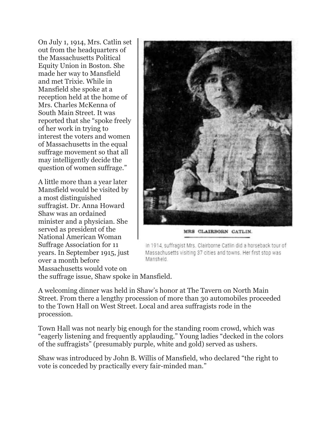On July 1, 1914, Mrs. Catlin set out from the headquarters of the Massachusetts Political Equity Union in Boston. She made her way to Mansfield and met Trixie. While in Mansfield she spoke at a reception held at the home of Mrs. Charles McKenna of South Main Street. It was reported that she "spoke freely of her work in trying to interest the voters and women of Massachusetts in the equal suffrage movement so that all may intelligently decide the question of women suffrage."

A little more than a year later Mansfield would be visited by a most distinguished suffragist. Dr. Anna Howard Shaw was an ordained minister and a physician. She served as president of the National American Woman Suffrage Association for 11 years. In September 1915, just over a month before Massachusetts would vote on



MRS CLAIRBORN CATLIN.

In 1914, suffragist Mrs. Clairborne Catlin did a horseback tour of Massachusetts visiting 37 cities and towns. Her first stop was Manstield.

the suffrage issue, Shaw spoke in Mansfield.

A welcoming dinner was held in Shaw's honor at The Tavern on North Main Street. From there a lengthy procession of more than 30 automobiles proceeded to the Town Hall on West Street. Local and area suffragists rode in the procession.

Town Hall was not nearly big enough for the standing room crowd, which was "eagerly listening and frequently applauding." Young ladies "decked in the colors of the suffragists" (presumably purple, white and gold) served as ushers.

Shaw was introduced by John B. Willis of Mansfield, who declared "the right to vote is conceded by practically every fair-minded man."